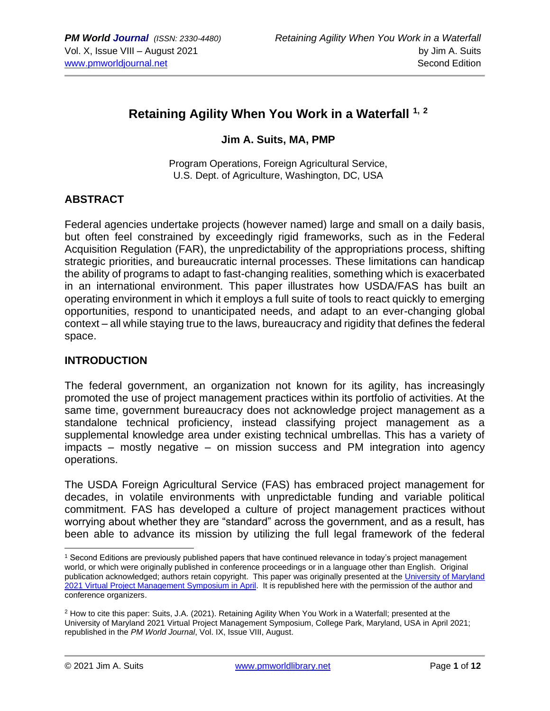# **Retaining Agility When You Work in a Waterfall 1, <sup>2</sup>**

#### **Jim A. Suits, MA, PMP**

Program Operations, Foreign Agricultural Service, U.S. Dept. of Agriculture, Washington, DC, USA

#### **ABSTRACT**

Federal agencies undertake projects (however named) large and small on a daily basis, but often feel constrained by exceedingly rigid frameworks, such as in the Federal Acquisition Regulation (FAR), the unpredictability of the appropriations process, shifting strategic priorities, and bureaucratic internal processes. These limitations can handicap the ability of programs to adapt to fast-changing realities, something which is exacerbated in an international environment. This paper illustrates how USDA/FAS has built an operating environment in which it employs a full suite of tools to react quickly to emerging opportunities, respond to unanticipated needs, and adapt to an ever-changing global context – all while staying true to the laws, bureaucracy and rigidity that defines the federal space.

#### **INTRODUCTION**

The federal government, an organization not known for its agility, has increasingly promoted the use of project management practices within its portfolio of activities. At the same time, government bureaucracy does not acknowledge project management as a standalone technical proficiency, instead classifying project management as a supplemental knowledge area under existing technical umbrellas. This has a variety of impacts – mostly negative – on mission success and PM integration into agency operations.

The USDA Foreign Agricultural Service (FAS) has embraced project management for decades, in volatile environments with unpredictable funding and variable political commitment. FAS has developed a culture of project management practices without worrying about whether they are "standard" across the government, and as a result, has been able to advance its mission by utilizing the full legal framework of the federal

<sup>&</sup>lt;sup>1</sup> Second Editions are previously published papers that have continued relevance in today's project management world, or which were originally published in conference proceedings or in a language other than English. Original publication acknowledged; authors retain copyright. This paper was originally presented at the University of Maryland [2021 Virtual Project Management](https://pmsymposium.umd.edu/pm2021/) Symposium in April. It is republished here with the permission of the author and conference organizers.

<sup>2</sup> How to cite this paper: Suits, J.A. (2021). Retaining Agility When You Work in a Waterfall; presented at the University of Maryland 2021 Virtual Project Management Symposium, College Park, Maryland, USA in April 2021; republished in the *PM World Journal*, Vol. IX, Issue VIII, August.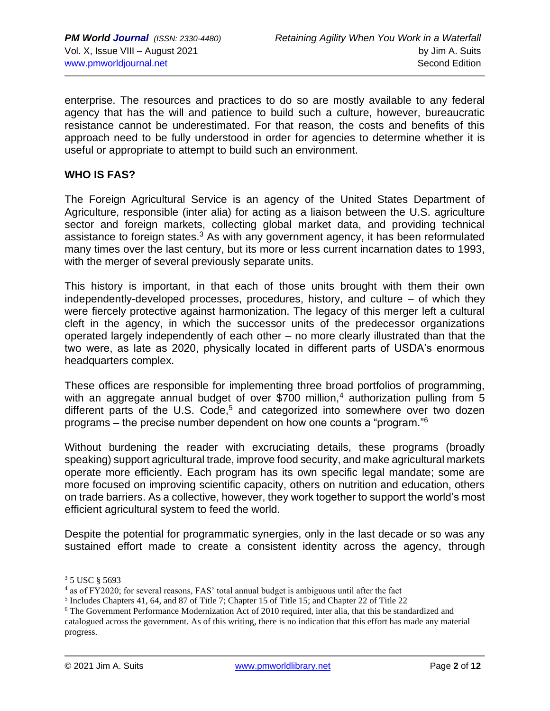enterprise. The resources and practices to do so are mostly available to any federal agency that has the will and patience to build such a culture, however, bureaucratic resistance cannot be underestimated. For that reason, the costs and benefits of this approach need to be fully understood in order for agencies to determine whether it is useful or appropriate to attempt to build such an environment.

#### **WHO IS FAS?**

The Foreign Agricultural Service is an agency of the United States Department of Agriculture, responsible (inter alia) for acting as a liaison between the U.S. agriculture sector and foreign markets, collecting global market data, and providing technical assistance to foreign states.<sup>3</sup> As with any government agency, it has been reformulated many times over the last century, but its more or less current incarnation dates to 1993, with the merger of several previously separate units.

This history is important, in that each of those units brought with them their own independently-developed processes, procedures, history, and culture – of which they were fiercely protective against harmonization. The legacy of this merger left a cultural cleft in the agency, in which the successor units of the predecessor organizations operated largely independently of each other – no more clearly illustrated than that the two were, as late as 2020, physically located in different parts of USDA's enormous headquarters complex.

These offices are responsible for implementing three broad portfolios of programming, with an aggregate annual budget of over \$700 million,<sup>4</sup> authorization pulling from 5 different parts of the U.S. Code, $5$  and categorized into somewhere over two dozen programs – the precise number dependent on how one counts a "program."<sup>6</sup>

Without burdening the reader with excruciating details, these programs (broadly speaking) support agricultural trade, improve food security, and make agricultural markets operate more efficiently. Each program has its own specific legal mandate; some are more focused on improving scientific capacity, others on nutrition and education, others on trade barriers. As a collective, however, they work together to support the world's most efficient agricultural system to feed the world.

Despite the potential for programmatic synergies, only in the last decade or so was any sustained effort made to create a consistent identity across the agency, through

<sup>3</sup> 5 USC § 5693

<sup>&</sup>lt;sup>4</sup> as of FY2020; for several reasons, FAS' total annual budget is ambiguous until after the fact

<sup>&</sup>lt;sup>5</sup> Includes Chapters 41, 64, and 87 of Title 7; Chapter 15 of Title 15; and Chapter 22 of Title 22

<sup>6</sup> The Government Performance Modernization Act of 2010 required, inter alia, that this be standardized and catalogued across the government. As of this writing, there is no indication that this effort has made any material progress.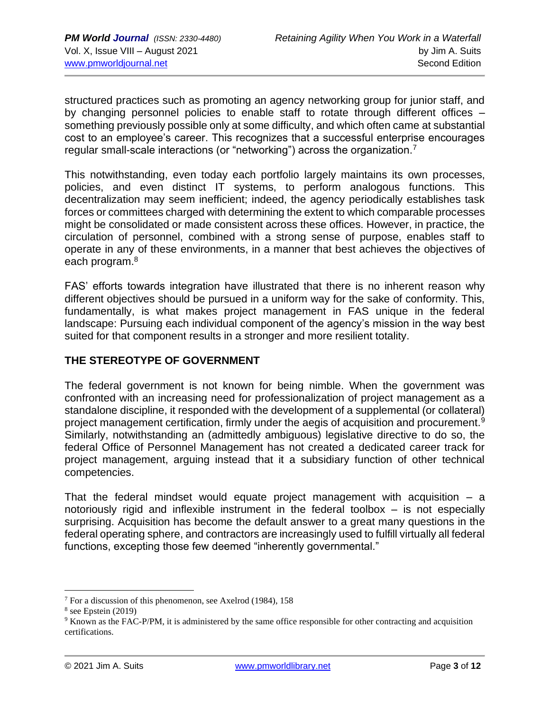structured practices such as promoting an agency networking group for junior staff, and by changing personnel policies to enable staff to rotate through different offices – something previously possible only at some difficulty, and which often came at substantial cost to an employee's career. This recognizes that a successful enterprise encourages regular small-scale interactions (or "networking") across the organization.<sup>7</sup>

This notwithstanding, even today each portfolio largely maintains its own processes, policies, and even distinct IT systems, to perform analogous functions. This decentralization may seem inefficient; indeed, the agency periodically establishes task forces or committees charged with determining the extent to which comparable processes might be consolidated or made consistent across these offices. However, in practice, the circulation of personnel, combined with a strong sense of purpose, enables staff to operate in any of these environments, in a manner that best achieves the objectives of each program.<sup>8</sup>

FAS' efforts towards integration have illustrated that there is no inherent reason why different objectives should be pursued in a uniform way for the sake of conformity. This, fundamentally, is what makes project management in FAS unique in the federal landscape: Pursuing each individual component of the agency's mission in the way best suited for that component results in a stronger and more resilient totality.

#### **THE STEREOTYPE OF GOVERNMENT**

The federal government is not known for being nimble. When the government was confronted with an increasing need for professionalization of project management as a standalone discipline, it responded with the development of a supplemental (or collateral) project management certification, firmly under the aegis of acquisition and procurement.<sup>9</sup> Similarly, notwithstanding an (admittedly ambiguous) legislative directive to do so, the federal Office of Personnel Management has not created a dedicated career track for project management, arguing instead that it a subsidiary function of other technical competencies.

That the federal mindset would equate project management with acquisition  $-$  a notoriously rigid and inflexible instrument in the federal toolbox – is not especially surprising. Acquisition has become the default answer to a great many questions in the federal operating sphere, and contractors are increasingly used to fulfill virtually all federal functions, excepting those few deemed "inherently governmental."

 $7$  For a discussion of this phenomenon, see Axelrod (1984), 158

<sup>8</sup> see Epstein (2019)

<sup>&</sup>lt;sup>9</sup> Known as the FAC-P/PM, it is administered by the same office responsible for other contracting and acquisition certifications.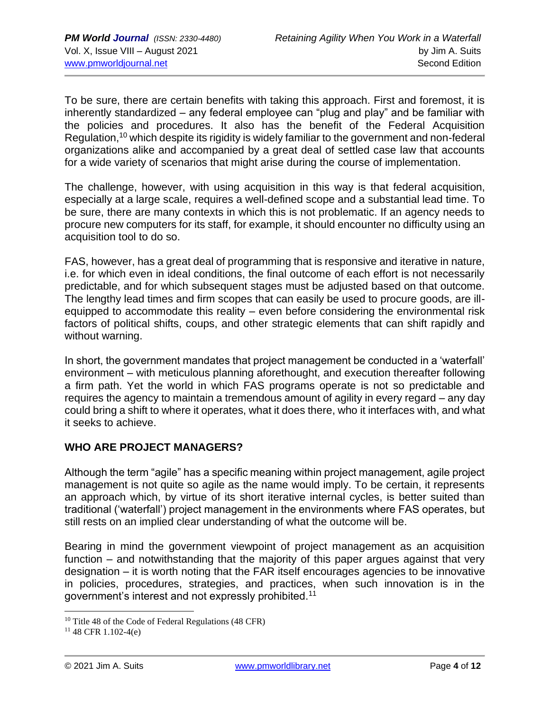To be sure, there are certain benefits with taking this approach. First and foremost, it is inherently standardized – any federal employee can "plug and play" and be familiar with the policies and procedures. It also has the benefit of the Federal Acquisition Regulation,<sup>10</sup> which despite its rigidity is widely familiar to the government and non-federal organizations alike and accompanied by a great deal of settled case law that accounts for a wide variety of scenarios that might arise during the course of implementation.

The challenge, however, with using acquisition in this way is that federal acquisition, especially at a large scale, requires a well-defined scope and a substantial lead time. To be sure, there are many contexts in which this is not problematic. If an agency needs to procure new computers for its staff, for example, it should encounter no difficulty using an acquisition tool to do so.

FAS, however, has a great deal of programming that is responsive and iterative in nature, i.e. for which even in ideal conditions, the final outcome of each effort is not necessarily predictable, and for which subsequent stages must be adjusted based on that outcome. The lengthy lead times and firm scopes that can easily be used to procure goods, are illequipped to accommodate this reality – even before considering the environmental risk factors of political shifts, coups, and other strategic elements that can shift rapidly and without warning.

In short, the government mandates that project management be conducted in a 'waterfall' environment – with meticulous planning aforethought, and execution thereafter following a firm path. Yet the world in which FAS programs operate is not so predictable and requires the agency to maintain a tremendous amount of agility in every regard – any day could bring a shift to where it operates, what it does there, who it interfaces with, and what it seeks to achieve.

## **WHO ARE PROJECT MANAGERS?**

Although the term "agile" has a specific meaning within project management, agile project management is not quite so agile as the name would imply. To be certain, it represents an approach which, by virtue of its short iterative internal cycles, is better suited than traditional ('waterfall') project management in the environments where FAS operates, but still rests on an implied clear understanding of what the outcome will be.

Bearing in mind the government viewpoint of project management as an acquisition function – and notwithstanding that the majority of this paper argues against that very designation – it is worth noting that the FAR itself encourages agencies to be innovative in policies, procedures, strategies, and practices, when such innovation is in the government's interest and not expressly prohibited.<sup>11</sup>

<sup>&</sup>lt;sup>10</sup> Title 48 of the Code of Federal Regulations (48 CFR)

 $11$  48 CFR 1.102-4(e)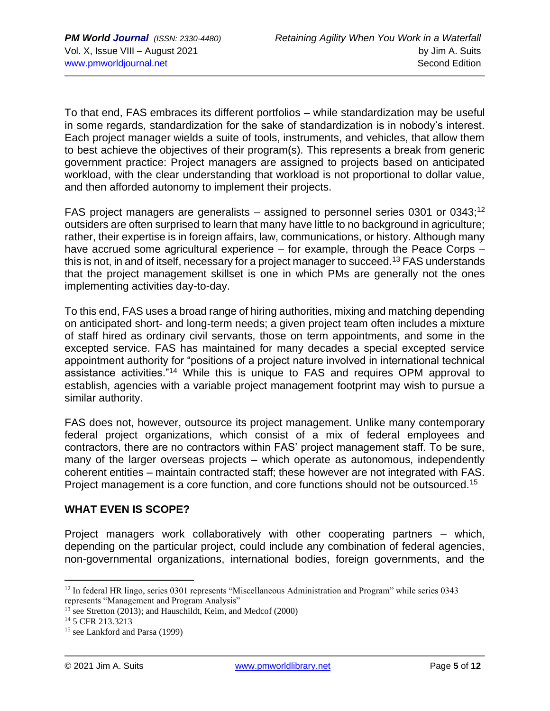To that end, FAS embraces its different portfolios – while standardization may be useful in some regards, standardization for the sake of standardization is in nobody's interest. Each project manager wields a suite of tools, instruments, and vehicles, that allow them to best achieve the objectives of their program(s). This represents a break from generic government practice: Project managers are assigned to projects based on anticipated workload, with the clear understanding that workload is not proportional to dollar value, and then afforded autonomy to implement their projects.

FAS project managers are generalists – assigned to personnel series 0301 or 0343;<sup>12</sup> outsiders are often surprised to learn that many have little to no background in agriculture; rather, their expertise is in foreign affairs, law, communications, or history. Although many have accrued some agricultural experience – for example, through the Peace Corps – this is not, in and of itself, necessary for a project manager to succeed.<sup>13</sup> FAS understands that the project management skillset is one in which PMs are generally not the ones implementing activities day-to-day.

To this end, FAS uses a broad range of hiring authorities, mixing and matching depending on anticipated short- and long-term needs; a given project team often includes a mixture of staff hired as ordinary civil servants, those on term appointments, and some in the excepted service. FAS has maintained for many decades a special excepted service appointment authority for "positions of a project nature involved in international technical assistance activities."<sup>14</sup> While this is unique to FAS and requires OPM approval to establish, agencies with a variable project management footprint may wish to pursue a similar authority.

FAS does not, however, outsource its project management. Unlike many contemporary federal project organizations, which consist of a mix of federal employees and contractors, there are no contractors within FAS' project management staff. To be sure, many of the larger overseas projects – which operate as autonomous, independently coherent entities – maintain contracted staff; these however are not integrated with FAS. Project management is a core function, and core functions should not be outsourced.<sup>15</sup>

#### **WHAT EVEN IS SCOPE?**

Project managers work collaboratively with other cooperating partners – which, depending on the particular project, could include any combination of federal agencies, non-governmental organizations, international bodies, foreign governments, and the

<sup>&</sup>lt;sup>12</sup> In federal HR lingo, series 0301 represents "Miscellaneous Administration and Program" while series 0343 represents "Management and Program Analysis"

<sup>&</sup>lt;sup>13</sup> see Stretton (2013); and Hauschildt, Keim, and Medcof (2000)

<sup>&</sup>lt;sup>14</sup> 5 CFR 213.3213

<sup>15</sup> see Lankford and Parsa (1999)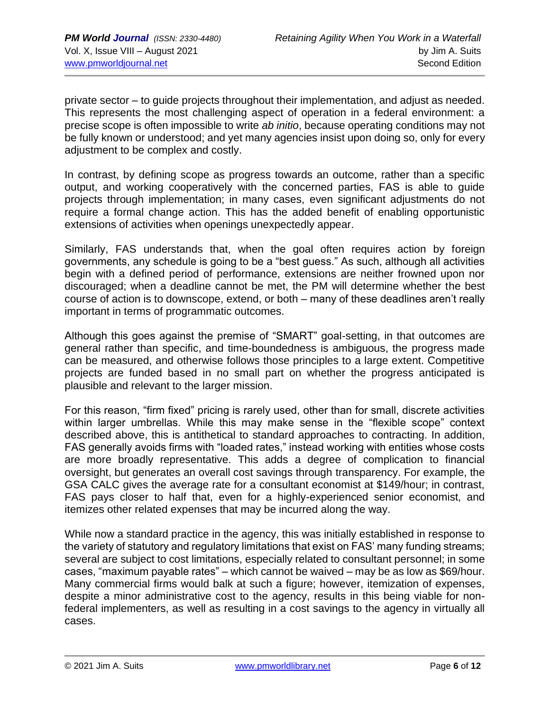private sector – to guide projects throughout their implementation, and adjust as needed. This represents the most challenging aspect of operation in a federal environment: a precise scope is often impossible to write *ab initio*, because operating conditions may not be fully known or understood; and yet many agencies insist upon doing so, only for every adjustment to be complex and costly.

In contrast, by defining scope as progress towards an outcome, rather than a specific output, and working cooperatively with the concerned parties, FAS is able to guide projects through implementation; in many cases, even significant adjustments do not require a formal change action. This has the added benefit of enabling opportunistic extensions of activities when openings unexpectedly appear.

Similarly, FAS understands that, when the goal often requires action by foreign governments, any schedule is going to be a "best guess." As such, although all activities begin with a defined period of performance, extensions are neither frowned upon nor discouraged; when a deadline cannot be met, the PM will determine whether the best course of action is to downscope, extend, or both – many of these deadlines aren't really important in terms of programmatic outcomes.

Although this goes against the premise of "SMART" goal-setting, in that outcomes are general rather than specific, and time-boundedness is ambiguous, the progress made can be measured, and otherwise follows those principles to a large extent. Competitive projects are funded based in no small part on whether the progress anticipated is plausible and relevant to the larger mission.

For this reason, "firm fixed" pricing is rarely used, other than for small, discrete activities within larger umbrellas. While this may make sense in the "flexible scope" context described above, this is antithetical to standard approaches to contracting. In addition, FAS generally avoids firms with "loaded rates," instead working with entities whose costs are more broadly representative. This adds a degree of complication to financial oversight, but generates an overall cost savings through transparency. For example, the GSA CALC gives the average rate for a consultant economist at \$149/hour; in contrast, FAS pays closer to half that, even for a highly-experienced senior economist, and itemizes other related expenses that may be incurred along the way.

While now a standard practice in the agency, this was initially established in response to the variety of statutory and regulatory limitations that exist on FAS' many funding streams; several are subject to cost limitations, especially related to consultant personnel; in some cases, "maximum payable rates" – which cannot be waived – may be as low as \$69/hour. Many commercial firms would balk at such a figure; however, itemization of expenses, despite a minor administrative cost to the agency, results in this being viable for nonfederal implementers, as well as resulting in a cost savings to the agency in virtually all cases.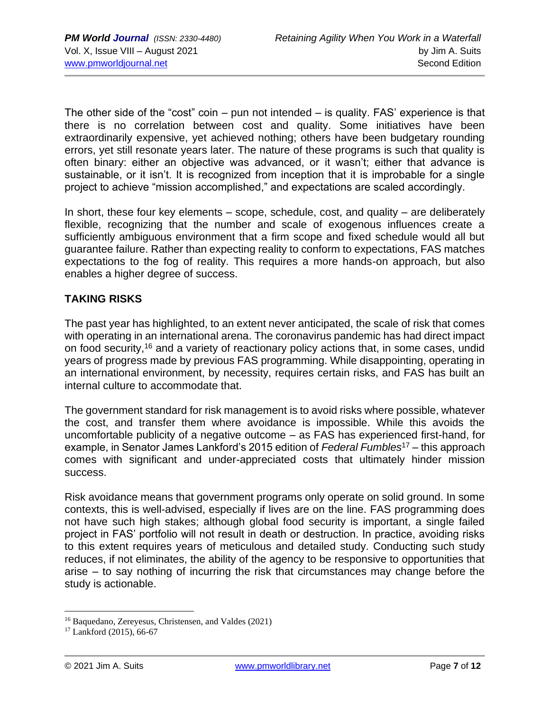The other side of the "cost" coin – pun not intended – is quality. FAS' experience is that there is no correlation between cost and quality. Some initiatives have been extraordinarily expensive, yet achieved nothing; others have been budgetary rounding errors, yet still resonate years later. The nature of these programs is such that quality is often binary: either an objective was advanced, or it wasn't; either that advance is sustainable, or it isn't. It is recognized from inception that it is improbable for a single project to achieve "mission accomplished," and expectations are scaled accordingly.

In short, these four key elements  $-$  scope, schedule, cost, and quality  $-$  are deliberately flexible, recognizing that the number and scale of exogenous influences create a sufficiently ambiguous environment that a firm scope and fixed schedule would all but guarantee failure. Rather than expecting reality to conform to expectations, FAS matches expectations to the fog of reality. This requires a more hands-on approach, but also enables a higher degree of success.

## **TAKING RISKS**

The past year has highlighted, to an extent never anticipated, the scale of risk that comes with operating in an international arena. The coronavirus pandemic has had direct impact on food security,<sup>16</sup> and a variety of reactionary policy actions that, in some cases, undid years of progress made by previous FAS programming. While disappointing, operating in an international environment, by necessity, requires certain risks, and FAS has built an internal culture to accommodate that.

The government standard for risk management is to avoid risks where possible, whatever the cost, and transfer them where avoidance is impossible. While this avoids the uncomfortable publicity of a negative outcome – as FAS has experienced first-hand, for example, in Senator James Lankford's 2015 edition of *Federal Fumbles*<sup>17</sup> – this approach comes with significant and under-appreciated costs that ultimately hinder mission success.

Risk avoidance means that government programs only operate on solid ground. In some contexts, this is well-advised, especially if lives are on the line. FAS programming does not have such high stakes; although global food security is important, a single failed project in FAS' portfolio will not result in death or destruction. In practice, avoiding risks to this extent requires years of meticulous and detailed study. Conducting such study reduces, if not eliminates, the ability of the agency to be responsive to opportunities that arise – to say nothing of incurring the risk that circumstances may change before the study is actionable.

<sup>16</sup> Baquedano, Zereyesus, Christensen, and Valdes (2021)

<sup>17</sup> Lankford (2015), 66-67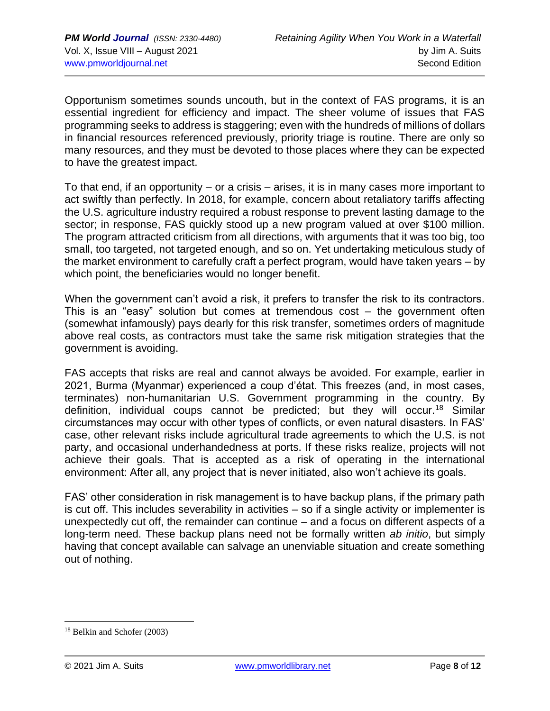Opportunism sometimes sounds uncouth, but in the context of FAS programs, it is an essential ingredient for efficiency and impact. The sheer volume of issues that FAS programming seeks to address is staggering; even with the hundreds of millions of dollars in financial resources referenced previously, priority triage is routine. There are only so many resources, and they must be devoted to those places where they can be expected to have the greatest impact.

To that end, if an opportunity – or a crisis – arises, it is in many cases more important to act swiftly than perfectly. In 2018, for example, concern about retaliatory tariffs affecting the U.S. agriculture industry required a robust response to prevent lasting damage to the sector; in response, FAS quickly stood up a new program valued at over \$100 million. The program attracted criticism from all directions, with arguments that it was too big, too small, too targeted, not targeted enough, and so on. Yet undertaking meticulous study of the market environment to carefully craft a perfect program, would have taken years – by which point, the beneficiaries would no longer benefit.

When the government can't avoid a risk, it prefers to transfer the risk to its contractors. This is an "easy" solution but comes at tremendous cost – the government often (somewhat infamously) pays dearly for this risk transfer, sometimes orders of magnitude above real costs, as contractors must take the same risk mitigation strategies that the government is avoiding.

FAS accepts that risks are real and cannot always be avoided. For example, earlier in 2021, Burma (Myanmar) experienced a coup d'état. This freezes (and, in most cases, terminates) non-humanitarian U.S. Government programming in the country. By definition, individual coups cannot be predicted; but they will occur.<sup>18</sup> Similar circumstances may occur with other types of conflicts, or even natural disasters. In FAS' case, other relevant risks include agricultural trade agreements to which the U.S. is not party, and occasional underhandedness at ports. If these risks realize, projects will not achieve their goals. That is accepted as a risk of operating in the international environment: After all, any project that is never initiated, also won't achieve its goals.

FAS' other consideration in risk management is to have backup plans, if the primary path is cut off. This includes severability in activities – so if a single activity or implementer is unexpectedly cut off, the remainder can continue – and a focus on different aspects of a long-term need. These backup plans need not be formally written *ab initio*, but simply having that concept available can salvage an unenviable situation and create something out of nothing.

<sup>18</sup> Belkin and Schofer (2003)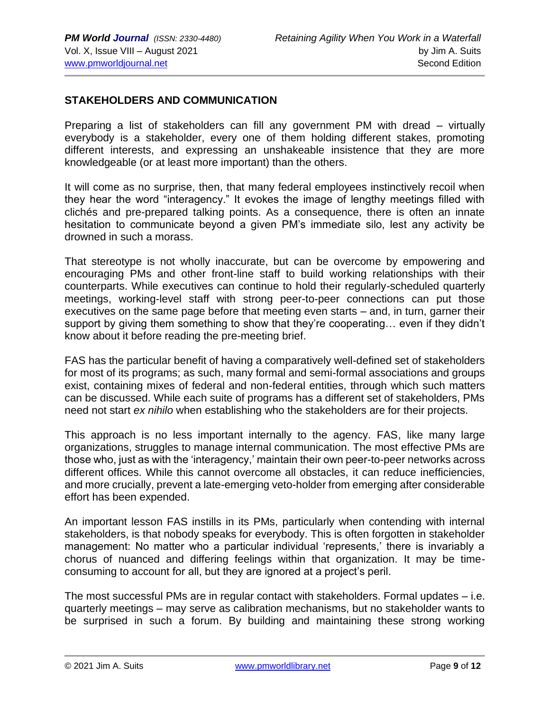#### **STAKEHOLDERS AND COMMUNICATION**

Preparing a list of stakeholders can fill any government PM with dread – virtually everybody is a stakeholder, every one of them holding different stakes, promoting different interests, and expressing an unshakeable insistence that they are more knowledgeable (or at least more important) than the others.

It will come as no surprise, then, that many federal employees instinctively recoil when they hear the word "interagency." It evokes the image of lengthy meetings filled with clichés and pre-prepared talking points. As a consequence, there is often an innate hesitation to communicate beyond a given PM's immediate silo, lest any activity be drowned in such a morass.

That stereotype is not wholly inaccurate, but can be overcome by empowering and encouraging PMs and other front-line staff to build working relationships with their counterparts. While executives can continue to hold their regularly-scheduled quarterly meetings, working-level staff with strong peer-to-peer connections can put those executives on the same page before that meeting even starts – and, in turn, garner their support by giving them something to show that they're cooperating… even if they didn't know about it before reading the pre-meeting brief.

FAS has the particular benefit of having a comparatively well-defined set of stakeholders for most of its programs; as such, many formal and semi-formal associations and groups exist, containing mixes of federal and non-federal entities, through which such matters can be discussed. While each suite of programs has a different set of stakeholders, PMs need not start *ex nihilo* when establishing who the stakeholders are for their projects.

This approach is no less important internally to the agency. FAS, like many large organizations, struggles to manage internal communication. The most effective PMs are those who, just as with the 'interagency,' maintain their own peer-to-peer networks across different offices. While this cannot overcome all obstacles, it can reduce inefficiencies, and more crucially, prevent a late-emerging veto-holder from emerging after considerable effort has been expended.

An important lesson FAS instills in its PMs, particularly when contending with internal stakeholders, is that nobody speaks for everybody. This is often forgotten in stakeholder management: No matter who a particular individual 'represents,' there is invariably a chorus of nuanced and differing feelings within that organization. It may be timeconsuming to account for all, but they are ignored at a project's peril.

The most successful PMs are in regular contact with stakeholders. Formal updates – i.e. quarterly meetings – may serve as calibration mechanisms, but no stakeholder wants to be surprised in such a forum. By building and maintaining these strong working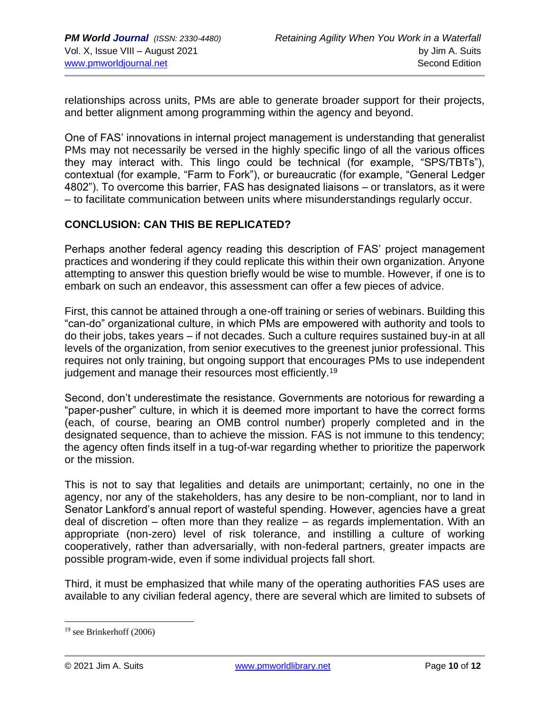relationships across units, PMs are able to generate broader support for their projects, and better alignment among programming within the agency and beyond.

One of FAS' innovations in internal project management is understanding that generalist PMs may not necessarily be versed in the highly specific lingo of all the various offices they may interact with. This lingo could be technical (for example, "SPS/TBTs"), contextual (for example, "Farm to Fork"), or bureaucratic (for example, "General Ledger 4802"). To overcome this barrier, FAS has designated liaisons – or translators, as it were – to facilitate communication between units where misunderstandings regularly occur.

### **CONCLUSION: CAN THIS BE REPLICATED?**

Perhaps another federal agency reading this description of FAS' project management practices and wondering if they could replicate this within their own organization. Anyone attempting to answer this question briefly would be wise to mumble. However, if one is to embark on such an endeavor, this assessment can offer a few pieces of advice.

First, this cannot be attained through a one-off training or series of webinars. Building this "can-do" organizational culture, in which PMs are empowered with authority and tools to do their jobs, takes years – if not decades. Such a culture requires sustained buy-in at all levels of the organization, from senior executives to the greenest junior professional. This requires not only training, but ongoing support that encourages PMs to use independent judgement and manage their resources most efficiently.<sup>19</sup>

Second, don't underestimate the resistance. Governments are notorious for rewarding a "paper-pusher" culture, in which it is deemed more important to have the correct forms (each, of course, bearing an OMB control number) properly completed and in the designated sequence, than to achieve the mission. FAS is not immune to this tendency; the agency often finds itself in a tug-of-war regarding whether to prioritize the paperwork or the mission.

This is not to say that legalities and details are unimportant; certainly, no one in the agency, nor any of the stakeholders, has any desire to be non-compliant, nor to land in Senator Lankford's annual report of wasteful spending. However, agencies have a great deal of discretion – often more than they realize – as regards implementation. With an appropriate (non-zero) level of risk tolerance, and instilling a culture of working cooperatively, rather than adversarially, with non-federal partners, greater impacts are possible program-wide, even if some individual projects fall short.

Third, it must be emphasized that while many of the operating authorities FAS uses are available to any civilian federal agency, there are several which are limited to subsets of

 $19$  see Brinkerhoff (2006)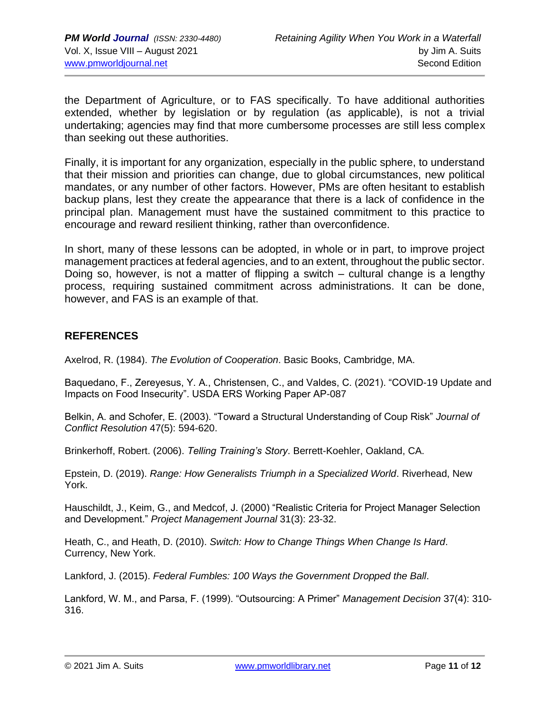the Department of Agriculture, or to FAS specifically. To have additional authorities extended, whether by legislation or by regulation (as applicable), is not a trivial undertaking; agencies may find that more cumbersome processes are still less complex than seeking out these authorities.

Finally, it is important for any organization, especially in the public sphere, to understand that their mission and priorities can change, due to global circumstances, new political mandates, or any number of other factors. However, PMs are often hesitant to establish backup plans, lest they create the appearance that there is a lack of confidence in the principal plan. Management must have the sustained commitment to this practice to encourage and reward resilient thinking, rather than overconfidence.

In short, many of these lessons can be adopted, in whole or in part, to improve project management practices at federal agencies, and to an extent, throughout the public sector. Doing so, however, is not a matter of flipping a switch – cultural change is a lengthy process, requiring sustained commitment across administrations. It can be done, however, and FAS is an example of that.

### **REFERENCES**

Axelrod, R. (1984). *The Evolution of Cooperation*. Basic Books, Cambridge, MA.

Baquedano, F., Zereyesus, Y. A., Christensen, C., and Valdes, C. (2021). "COVID-19 Update and Impacts on Food Insecurity". USDA ERS Working Paper AP-087

Belkin, A. and Schofer, E. (2003). "Toward a Structural Understanding of Coup Risk" *Journal of Conflict Resolution* 47(5): 594-620.

Brinkerhoff, Robert. (2006). *Telling Training's Story*. Berrett-Koehler, Oakland, CA.

Epstein, D. (2019). *Range: How Generalists Triumph in a Specialized World*. Riverhead, New York.

Hauschildt, J., Keim, G., and Medcof, J. (2000) "Realistic Criteria for Project Manager Selection and Development." *Project Management Journal* 31(3): 23-32.

Heath, C., and Heath, D. (2010). *Switch: How to Change Things When Change Is Hard*. Currency, New York.

Lankford, J. (2015). *Federal Fumbles: 100 Ways the Government Dropped the Ball*.

Lankford, W. M., and Parsa, F. (1999). "Outsourcing: A Primer" *Management Decision* 37(4): 310- 316.